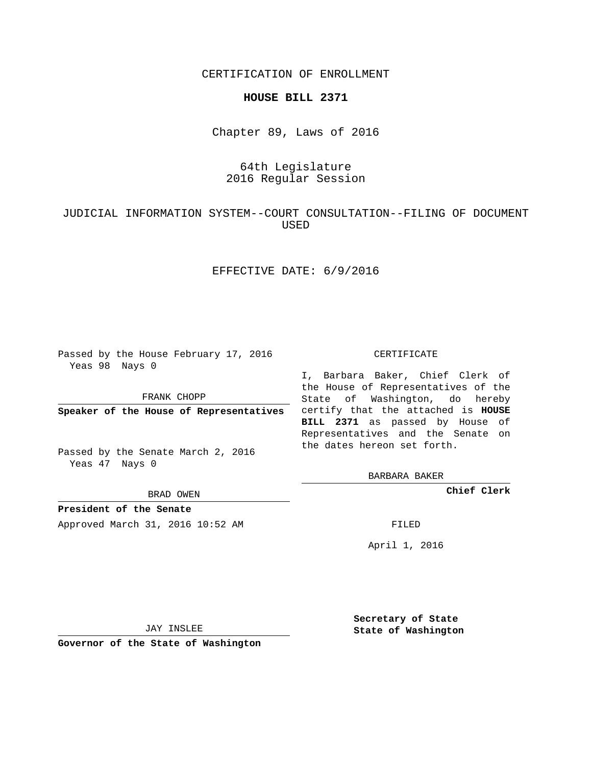CERTIFICATION OF ENROLLMENT

### **HOUSE BILL 2371**

Chapter 89, Laws of 2016

# 64th Legislature 2016 Regular Session

# JUDICIAL INFORMATION SYSTEM--COURT CONSULTATION--FILING OF DOCUMENT USED

## EFFECTIVE DATE: 6/9/2016

Passed by the House February 17, 2016 Yeas 98 Nays 0

FRANK CHOPP

Passed by the Senate March 2, 2016 Yeas 47 Nays 0

BRAD OWEN

**President of the Senate**

Approved March 31, 2016 10:52 AM FILED

#### CERTIFICATE

**Speaker of the House of Representatives** certify that the attached is **HOUSE** I, Barbara Baker, Chief Clerk of the House of Representatives of the State of Washington, do hereby **BILL 2371** as passed by House of Representatives and the Senate on the dates hereon set forth.

BARBARA BAKER

**Chief Clerk**

April 1, 2016

JAY INSLEE

**Governor of the State of Washington**

**Secretary of State State of Washington**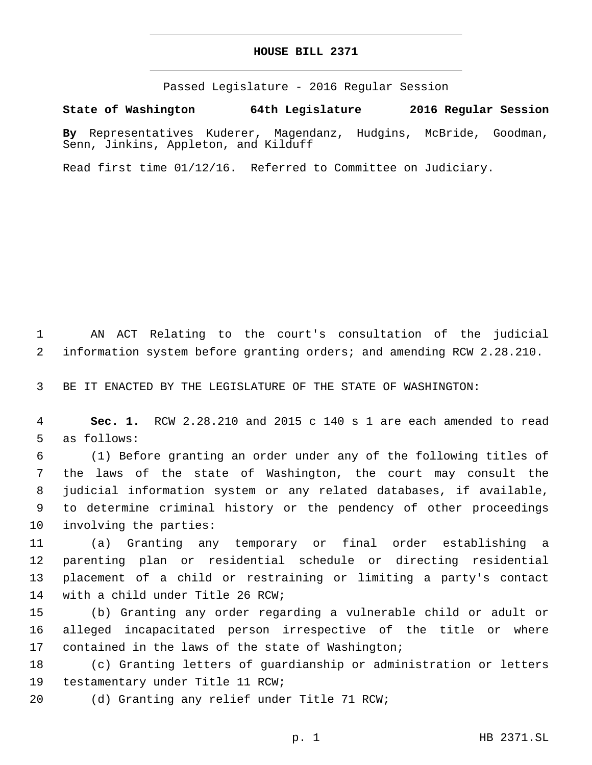## **HOUSE BILL 2371**

Passed Legislature - 2016 Regular Session

**State of Washington 64th Legislature 2016 Regular Session**

**By** Representatives Kuderer, Magendanz, Hudgins, McBride, Goodman, Senn, Jinkins, Appleton, and Kilduff

Read first time 01/12/16. Referred to Committee on Judiciary.

1 AN ACT Relating to the court's consultation of the judicial 2 information system before granting orders; and amending RCW 2.28.210.

3 BE IT ENACTED BY THE LEGISLATURE OF THE STATE OF WASHINGTON:

4 **Sec. 1.** RCW 2.28.210 and 2015 c 140 s 1 are each amended to read 5 as follows:

 (1) Before granting an order under any of the following titles of the laws of the state of Washington, the court may consult the judicial information system or any related databases, if available, to determine criminal history or the pendency of other proceedings 10 involving the parties:

 (a) Granting any temporary or final order establishing a parenting plan or residential schedule or directing residential placement of a child or restraining or limiting a party's contact 14 with a child under Title 26 RCW;

15 (b) Granting any order regarding a vulnerable child or adult or 16 alleged incapacitated person irrespective of the title or where 17 contained in the laws of the state of Washington;

18 (c) Granting letters of guardianship or administration or letters 19 testamentary under Title 11 RCW;

20 (d) Granting any relief under Title 71 RCW;